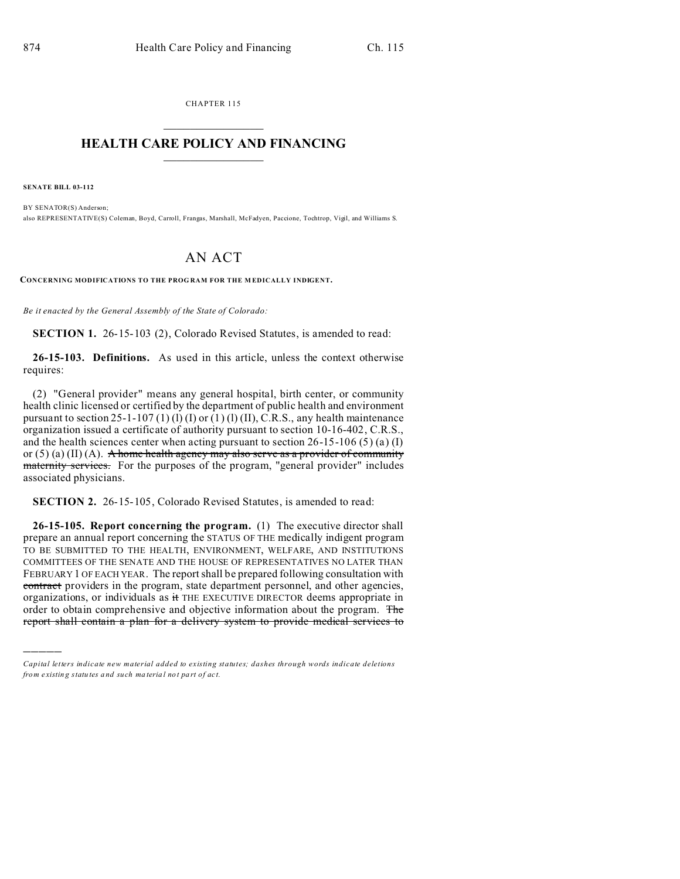CHAPTER 115  $\overline{\phantom{a}}$  , where  $\overline{\phantom{a}}$ 

## **HEALTH CARE POLICY AND FINANCING**  $\_$   $\_$   $\_$   $\_$   $\_$   $\_$   $\_$   $\_$

**SENATE BILL 03-112**

)))))

BY SENATOR(S) Anderson; also REPRESENTATIVE(S) Coleman, Boyd, Carroll, Frangas, Marshall, McFadyen, Paccione, Tochtrop, Vigil, and Williams S.

## AN ACT

**CONCERNING MODIFICATIONS TO THE PROG RAM FOR THE M EDICALLY INDIGENT.**

*Be it enacted by the General Assembly of the State of Colorado:*

**SECTION 1.** 26-15-103 (2), Colorado Revised Statutes, is amended to read:

**26-15-103. Definitions.** As used in this article, unless the context otherwise requires:

(2) "General provider" means any general hospital, birth center, or community health clinic licensed or certified by the department of public health and environment pursuant to section 25-1-107 (1) (1) (I) or  $(1)$  (I) (II), C.R.S., any health maintenance organization issued a certificate of authority pursuant to section 10-16-402, C.R.S., and the health sciences center when acting pursuant to section  $26-15-106(5)$  (a) (I) or (5) (a) (II) (A). A home health agency may also serve as a provider of community maternity services. For the purposes of the program, "general provider" includes associated physicians.

**SECTION 2.** 26-15-105, Colorado Revised Statutes, is amended to read:

**26-15-105. Report concerning the program.** (1) The executive director shall prepare an annual report concerning the STATUS OF THE medically indigent program TO BE SUBMITTED TO THE HEALTH, ENVIRONMENT, WELFARE, AND INSTITUTIONS COMMITTEES OF THE SENATE AND THE HOUSE OF REPRESENTATIVES NO LATER THAN FEBRUARY 1 OF EACH YEAR. The report shall be prepared following consultation with contract providers in the program, state department personnel, and other agencies, organizations, or individuals as it THE EXECUTIVE DIRECTOR deems appropriate in order to obtain comprehensive and objective information about the program. The report shall contain a plan for a delivery system to provide medical services to

*Capital letters indicate new material added to existing statutes; dashes through words indicate deletions from e xistin g statu tes a nd such ma teria l no t pa rt of ac t.*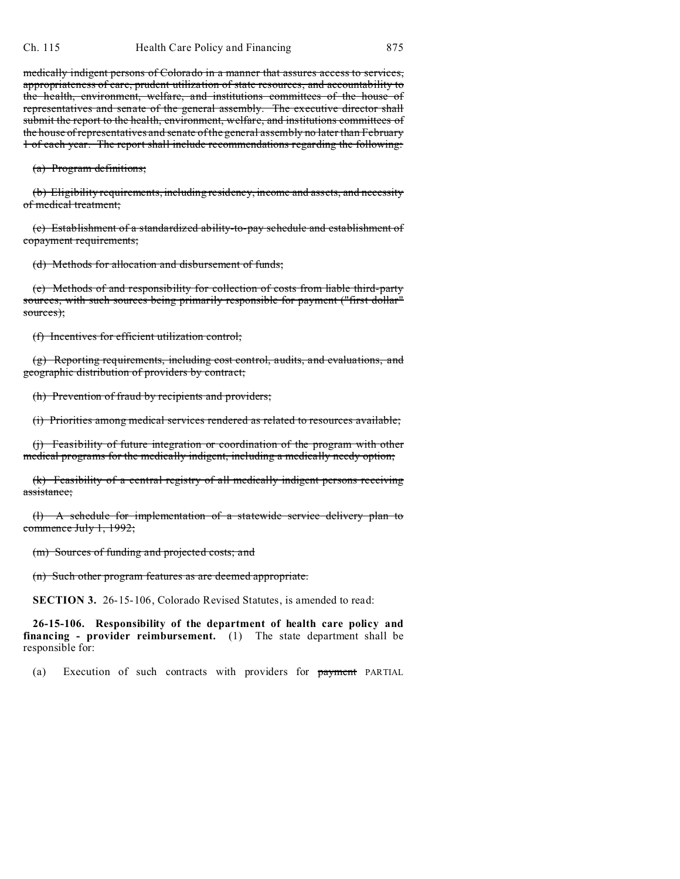medically indigent persons of Colorado in a manner that assures access to services, appropriateness of care, prudent utilization of state resources, and accountability to the health, environment, welfare, and institutions committees of the house of representatives and senate of the general assembly. The executive director shall submit the report to the health, environment, welfare, and institutions committees of the house of representatives and senate of the general assembly no later than February 1 of each year. The report shall include recommendations regarding the following:

(a) Program definitions;

(b) Eligibility requirements, including residency, income and assets, and necessity of medical treatment;

(c) Establishment of a standardized ability-to-pay schedule and establishment of copayment requirements;

(d) Methods for allocation and disbursement of funds;

(e) Methods of and responsibility for collection of costs from liable third-party sources, with such sources being primarily responsible for payment ("first dollar" sources);

(f) Incentives for efficient utilization control;

(g) Reporting requirements, including cost control, audits, and evaluations, and geographic distribution of providers by contract;

(h) Prevention of fraud by recipients and providers;

(i) Priorities among medical services rendered as related to resources available;

(j) Feasibility of future integration or coordination of the program with other medical programs for the medically indigent, including a medically needy option;

(k) Feasibility of a central registry of all medically indigent persons receiving assistance;

(l) A schedule for implementation of a statewide service delivery plan to commence July 1, 1992;

(m) Sources of funding and projected costs; and

(n) Such other program features as are deemed appropriate.

**SECTION 3.** 26-15-106, Colorado Revised Statutes, is amended to read:

**26-15-106. Responsibility of the department of health care policy and financing - provider reimbursement.** (1) The state department shall be responsible for:

(a) Execution of such contracts with providers for payment PARTIAL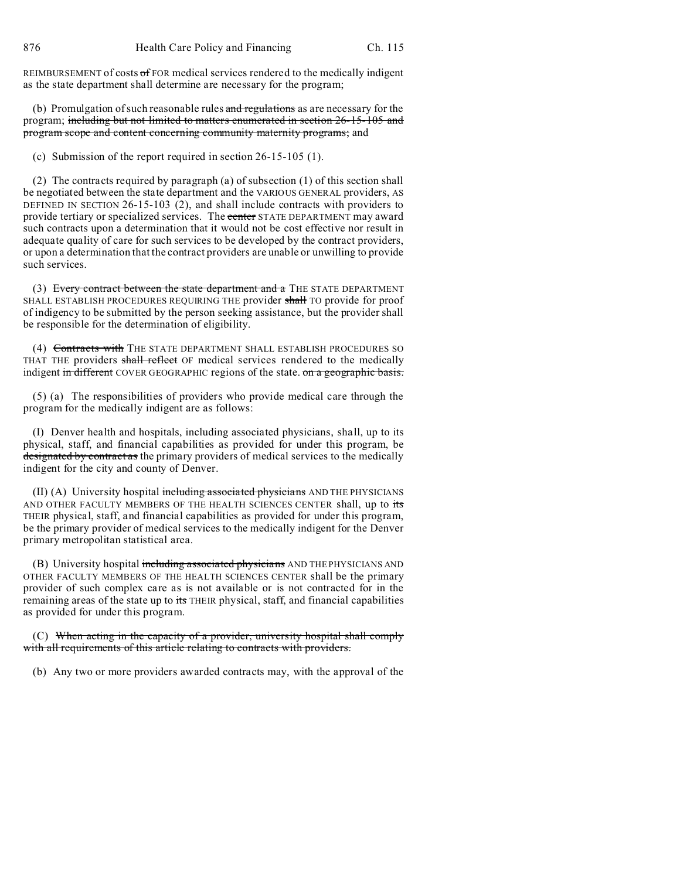REIMBURSEMENT of costs of FOR medical services rendered to the medically indigent as the state department shall determine are necessary for the program;

(b) Promulgation of such reasonable rules and regulations as are necessary for the program; including but not limited to matters enumerated in section 26-15-105 and program scope and content concerning community maternity programs; and

(c) Submission of the report required in section 26-15-105 (1).

(2) The contracts required by paragraph (a) of subsection (1) of this section shall be negotiated between the state department and the VARIOUS GENERAL providers, AS DEFINED IN SECTION 26-15-103 (2), and shall include contracts with providers to provide tertiary or specialized services. The center STATE DEPARTMENT may award such contracts upon a determination that it would not be cost effective nor result in adequate quality of care for such services to be developed by the contract providers, or upon a determination that the contract providers are unable or unwilling to provide such services.

(3) Every contract between the state department and a THE STATE DEPARTMENT SHALL ESTABLISH PROCEDURES REQUIRING THE provider shall TO provide for proof of indigency to be submitted by the person seeking assistance, but the provider shall be responsible for the determination of eligibility.

(4) Contracts with THE STATE DEPARTMENT SHALL ESTABLISH PROCEDURES SO THAT THE providers shall reflect OF medical services rendered to the medically indigent in different COVER GEOGRAPHIC regions of the state. on a geographic basis.

(5) (a) The responsibilities of providers who provide medical care through the program for the medically indigent are as follows:

(I) Denver health and hospitals, including associated physicians, shall, up to its physical, staff, and financial capabilities as provided for under this program, be designated by contract as the primary providers of medical services to the medically indigent for the city and county of Denver.

(II) (A) University hospital including associated physicians AND THE PHYSICIANS AND OTHER FACULTY MEMBERS OF THE HEALTH SCIENCES CENTER shall, up to its THEIR physical, staff, and financial capabilities as provided for under this program, be the primary provider of medical services to the medically indigent for the Denver primary metropolitan statistical area.

(B) University hospital including associated physicians AND THE PHYSICIANS AND OTHER FACULTY MEMBERS OF THE HEALTH SCIENCES CENTER shall be the primary provider of such complex care as is not available or is not contracted for in the remaining areas of the state up to its THEIR physical, staff, and financial capabilities as provided for under this program.

(C) When acting in the capacity of a provider, university hospital shall comply with all requirements of this article relating to contracts with providers.

(b) Any two or more providers awarded contracts may, with the approval of the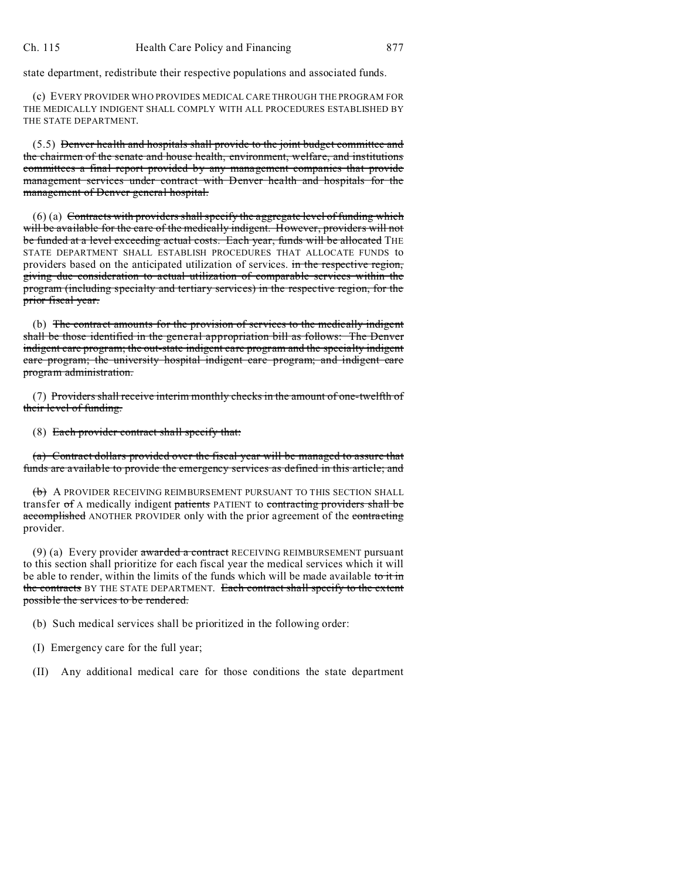state department, redistribute their respective populations and associated funds.

(c) EVERY PROVIDER WHO PROVIDES MEDICAL CARE THROUGH THE PROGRAM FOR THE MEDICALLY INDIGENT SHALL COMPLY WITH ALL PROCEDURES ESTABLISHED BY THE STATE DEPARTMENT.

(5.5) Denver health and hospitals shall provide to the joint budget committee and the chairmen of the senate and house health, environment, welfare, and institutions committees a final report provided by any management companies that provide management services under contract with Denver health and hospitals for the management of Denver general hospital.

 $(6)$  (a) Contracts with providers shall specify the aggregate level of funding which will be available for the care of the medically indigent. However, providers will not be funded at a level exceeding actual costs. Each year, funds will be allocated THE STATE DEPARTMENT SHALL ESTABLISH PROCEDURES THAT ALLOCATE FUNDS to providers based on the anticipated utilization of services. in the respective region, giving due consideration to actual utilization of comparable services within the program (including specialty and tertiary services) in the respective region, for the prior fiscal year.

(b) The contract amounts for the provision of services to the medically indigent shall be those identified in the general appropriation bill as follows: The Denver indigent care program; the out-state indigent care program and the specialty indigent care program; the university hospital indigent care program; and indigent care program administration.

(7) Providers shall receive interim monthly checks in the amount of one-twelfth of their level of funding.

(8) Each provider contract shall specify that:

(a) Contract dollars provided over the fiscal year will be managed to assure that funds are available to provide the emergency services as defined in this article; and

(b) A PROVIDER RECEIVING REIMBURSEMENT PURSUANT TO THIS SECTION SHALL transfer of A medically indigent patients PATIENT to contracting providers shall be accomplished ANOTHER PROVIDER only with the prior agreement of the contracting provider.

 $(9)$  (a) Every provider awarded a contract RECEIVING REIMBURSEMENT pursuant to this section shall prioritize for each fiscal year the medical services which it will be able to render, within the limits of the funds which will be made available to it in the contracts BY THE STATE DEPARTMENT. Each contract shall specify to the extent possible the services to be rendered.

(b) Such medical services shall be prioritized in the following order:

(I) Emergency care for the full year;

(II) Any additional medical care for those conditions the state department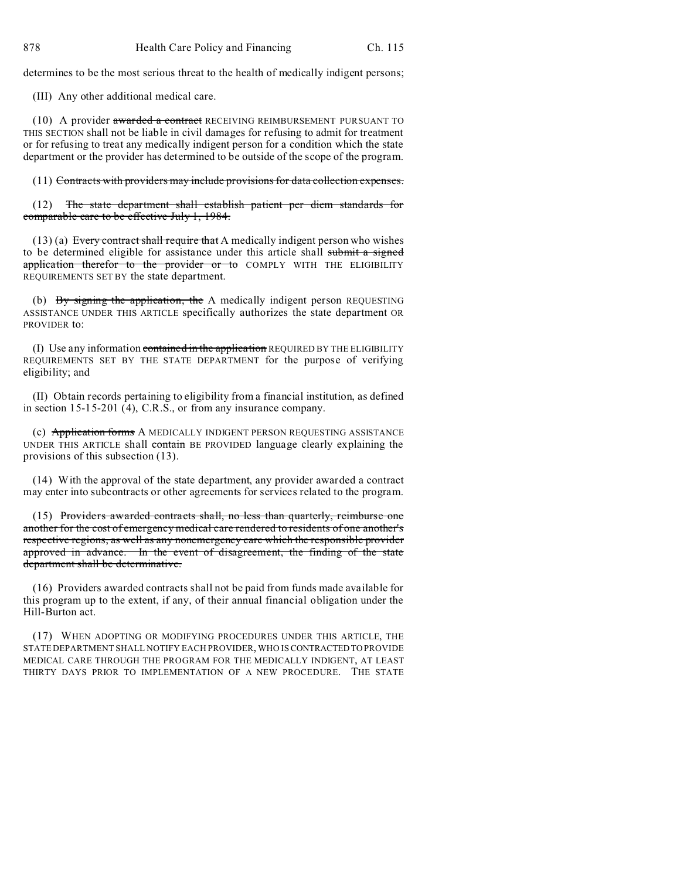determines to be the most serious threat to the health of medically indigent persons;

(III) Any other additional medical care.

(10) A provider awarded a contract RECEIVING REIMBURSEMENT PURSUANT TO THIS SECTION shall not be liable in civil damages for refusing to admit for treatment or for refusing to treat any medically indigent person for a condition which the state department or the provider has determined to be outside of the scope of the program.

(11) Contracts with providers may include provisions for data collection expenses.

(12) The state department shall establish patient per diem standards for comparable care to be effective July 1, 1984.

 $(13)$  (a) Every contract shall require that A medically indigent person who wishes to be determined eligible for assistance under this article shall submit a signed application therefor to the provider or to COMPLY WITH THE ELIGIBILITY REQUIREMENTS SET BY the state department.

(b) By signing the application, the A medically indigent person REQUESTING ASSISTANCE UNDER THIS ARTICLE specifically authorizes the state department OR PROVIDER to:

(I) Use any information contained in the application REQUIRED BY THE ELIGIBILITY REQUIREMENTS SET BY THE STATE DEPARTMENT for the purpose of verifying eligibility; and

(II) Obtain records pertaining to eligibility from a financial institution, as defined in section 15-15-201 (4), C.R.S., or from any insurance company.

(c) Application forms A MEDICALLY INDIGENT PERSON REQUESTING ASSISTANCE UNDER THIS ARTICLE shall contain BE PROVIDED language clearly explaining the provisions of this subsection (13).

(14) With the approval of the state department, any provider awarded a contract may enter into subcontracts or other agreements for services related to the program.

(15) Providers awarded contracts shall, no less than quarterly, reimburse one another for the cost of emergency medical care rendered to residents of one another's respective regions, as well as any nonemergency care which the responsible provider approved in advance. In the event of disagreement, the finding of the state department shall be determinative.

(16) Providers awarded contracts shall not be paid from funds made available for this program up to the extent, if any, of their annual financial obligation under the Hill-Burton act.

(17) WHEN ADOPTING OR MODIFYING PROCEDURES UNDER THIS ARTICLE, THE STATE DEPARTMENT SHALL NOTIFY EACH PROVIDER, WHO IS CONTRACTEDTO PROVIDE MEDICAL CARE THROUGH THE PROGRAM FOR THE MEDICALLY INDIGENT, AT LEAST THIRTY DAYS PRIOR TO IMPLEMENTATION OF A NEW PROCEDURE. THE STATE